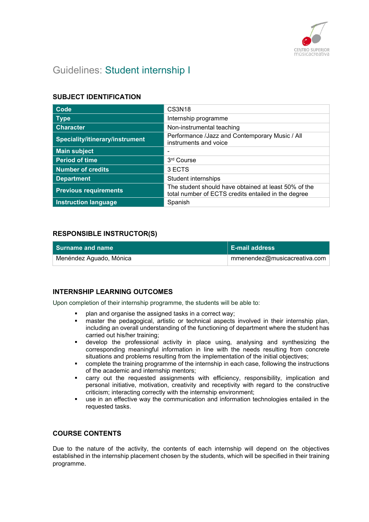

# Guidelines: Student internship I

# SUBJECT IDENTIFICATION

| Code                            | <b>CS3N18</b>                                                                                               |
|---------------------------------|-------------------------------------------------------------------------------------------------------------|
| <b>Type</b>                     | Internship programme                                                                                        |
| <b>Character</b>                | Non-instrumental teaching                                                                                   |
| Speciality/itinerary/instrument | Performance /Jazz and Contemporary Music / All<br>instruments and voice                                     |
| <b>Main subject</b>             |                                                                                                             |
| <b>Period of time</b>           | 3rd Course                                                                                                  |
| <b>Number of credits</b>        | 3 ECTS                                                                                                      |
| <b>Department</b>               | Student internships                                                                                         |
| <b>Previous requirements</b>    | The student should have obtained at least 50% of the<br>total number of ECTS credits entailed in the degree |
| <b>Instruction language</b>     | Spanish                                                                                                     |

### RESPONSIBLE INSTRUCTOR(S)

| l Surname and name      | <b>E-mail address</b>        |
|-------------------------|------------------------------|
| Menéndez Aguado, Mónica | mmenendez@musicacreativa.com |

# INTERNSHIP LEARNING OUTCOMES

Upon completion of their internship programme, the students will be able to:

- plan and organise the assigned tasks in a correct way;
- master the pedagogical, artistic or technical aspects involved in their internship plan, including an overall understanding of the functioning of department where the student has carried out his/her training;
- develop the professional activity in place using, analysing and synthesizing the corresponding meaningful information in line with the needs resulting from concrete situations and problems resulting from the implementation of the initial objectives;
- complete the training programme of the internship in each case, following the instructions of the academic and internship mentors;
- carry out the requested assignments with efficiency, responsibility, implication and personal initiative, motivation, creativity and receptivity with regard to the constructive criticism; interacting correctly with the internship environment;
- use in an effective way the communication and information technologies entailed in the requested tasks.

### COURSE CONTENTS

Due to the nature of the activity, the contents of each internship will depend on the objectives established in the internship placement chosen by the students, which will be specified in their training programme.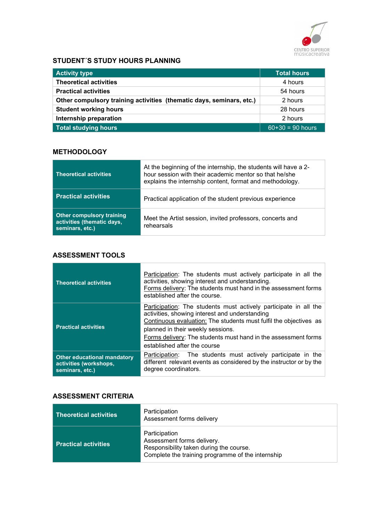

# STUDENT´S STUDY HOURS PLANNING

| <b>Activity type</b>                                                 | <b>Total hours</b> |
|----------------------------------------------------------------------|--------------------|
| <b>Theoretical activities</b>                                        | 4 hours            |
| <b>Practical activities</b>                                          | 54 hours           |
| Other compulsory training activities (thematic days, seminars, etc.) | 2 hours            |
| <b>Student working hours</b>                                         | 28 hours           |
| Internship preparation                                               | 2 hours            |
| <b>Total studying hours</b>                                          | $60+30 = 90$ hours |

### **METHODOLOGY**

| <b>Theoretical activities</b>                                                     | At the beginning of the internship, the students will have a 2-<br>hour session with their academic mentor so that he/she<br>explains the internship content, format and methodology. |
|-----------------------------------------------------------------------------------|---------------------------------------------------------------------------------------------------------------------------------------------------------------------------------------|
| <b>Practical activities</b>                                                       | Practical application of the student previous experience                                                                                                                              |
| <b>Other compulsory training</b><br>activities (thematic days,<br>seminars, etc.) | Meet the Artist session, invited professors, concerts and<br>rehearsals                                                                                                               |

# ASSESSMENT TOOLS

| <b>Theoretical activities</b>                                                   | Participation: The students must actively participate in all the<br>activities, showing interest and understanding.<br>Forms delivery: The students must hand in the assessment forms<br>established after the course.                                                                                                         |
|---------------------------------------------------------------------------------|--------------------------------------------------------------------------------------------------------------------------------------------------------------------------------------------------------------------------------------------------------------------------------------------------------------------------------|
| <b>Practical activities</b>                                                     | Participation: The students must actively participate in all the<br>activities, showing interest and understanding<br>Continuous evaluation: The students must fulfil the objectives as<br>planned in their weekly sessions.<br>Forms delivery: The students must hand in the assessment forms<br>established after the course |
| <b>Other educational mandatory</b><br>activities (workshops,<br>seminars, etc.) | Participation: The students must actively participate in the<br>different relevant events as considered by the instructor or by the<br>degree coordinators.                                                                                                                                                                    |

## ASSESSMENT CRITERIA

| <b>Theoretical activities</b> | Participation<br>Assessment forms delivery                                                                                                  |
|-------------------------------|---------------------------------------------------------------------------------------------------------------------------------------------|
| <b>Practical activities</b>   | Participation<br>Assessment forms delivery.<br>Responsibility taken during the course.<br>Complete the training programme of the internship |